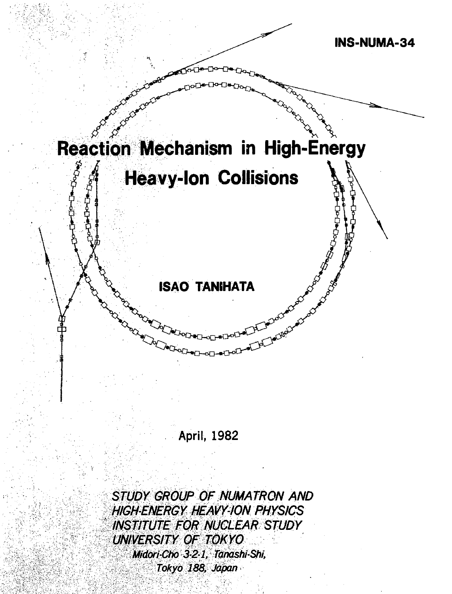

**April, 1982**

STUDY GROUP OF NUMATRON AND HIGH-ENERGY HEAVY-ION PHYSICS INSTITUTE FOR NUCLEAR STUDY UNIVERSITY OF TOKYO Midori-Cho 3-2-1, Tanashi-Shi, Tokyo 188, Japan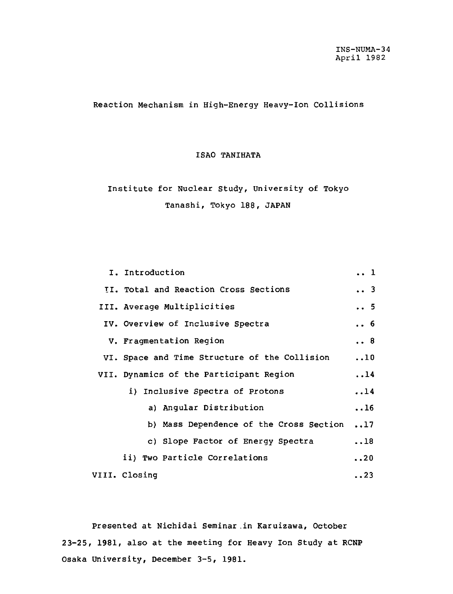Reaction Mechanism in High-Energy Heavy-Ion Collisions

# ISAO TANIHATA

# Institute for Nuclear Study, University of Tokyo Tanashi, Tokyo 188, JAPAN

| I. Introduction                               |             |  |  |  |
|-----------------------------------------------|-------------|--|--|--|
| II. Total and Reaction Cross Sections         | 3           |  |  |  |
| III. Average Multiplicities                   | 5           |  |  |  |
| IV. Overview of Inclusive Spectra             | . . 6       |  |  |  |
| V. Fragmentation Region                       |             |  |  |  |
| VI. Space and Time Structure of the Collision | $\ldots$ 10 |  |  |  |
| VII. Dynamics of the Participant Region       | .14         |  |  |  |
| i) Inclusive Spectra of Protons               | .14         |  |  |  |
| a) Angular Distribution                       | .16         |  |  |  |
| b) Mass Dependence of the Cross Section       | $\ldots$ 17 |  |  |  |
| c) Slope Factor of Energy Spectra             | $\ldots$ 18 |  |  |  |
| ii) Two Particle Correlations                 | . .20       |  |  |  |
| VIII. Closing                                 | $\ldots$ 23 |  |  |  |

Presented at Nichidai Seminar .in Karuizawa, October 2 3-25, 1981, also at the meeting for Heavy Ion Study at RCNP Osaka University, December 3-5, 1981.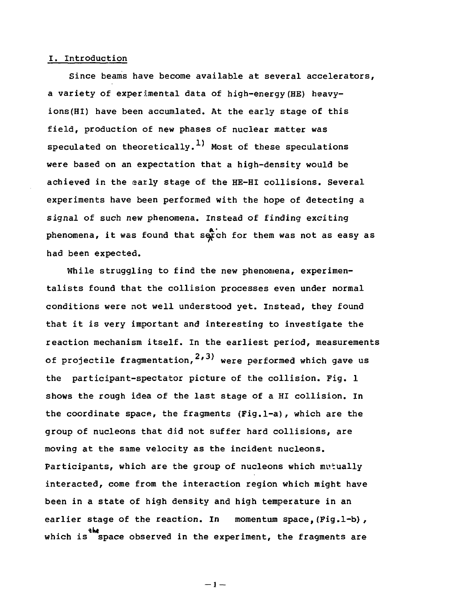## I. Introduction

Since beams have become available at several accelerators, a variety of experimental data of high-energy(HE) heavyions (HI) have been accumlated. At the early stage of this field, production of new phases of nuclear matter was speculated on theoretically.<sup>1)</sup> Most of these speculations were based on an expectation that a high-density would be achieved in the early stage of the HE-HI collisions. Several experiments have been performed with the hope of detecting a signal of such new phenomena. Instead of finding exciting phenomena, it was found that serch for them was not as easy as had been expected.

While struggling to find the new phenomena, experimentalists found that the collision processes even under normal conditions were not well understood yet. Instead, they found that it is very important and interesting to investigate the reaction mechanism itself. In the earliest period, measurements of projectile fragmentation, $^{\mathbf{2,3)}}$  were performed which gave us the participant-spectator picture of the collision. Fig. 1 shows the rough idea of the last stage of a HI collision. In the coordinate space, the fragments (Fig.l-a), which are the group of nucleons that did not suffer hard collisions, are moving at the same velocity as the incident nucleons. Participants, which are the group of nucleons which mutually interacted, come from the interaction region which might have been in a state of high density and high temperature in an earlier stage of the reaction. In momentum space, (Fig.1-b), the the the the space observed in the experiment, the fragments are  $\frac{1}{100}$ 

 $-1 -$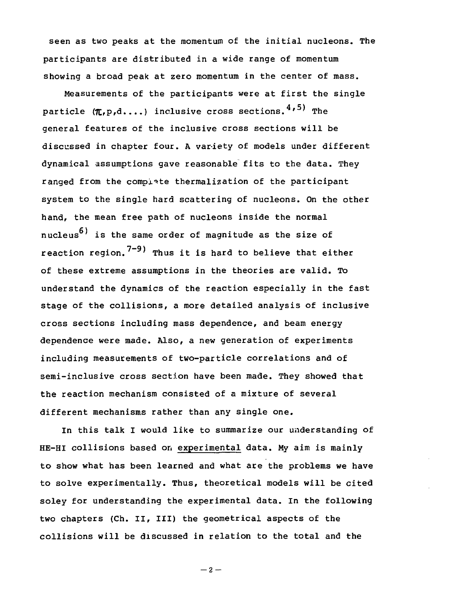seen as two peaks at the momentum of the initial nucleons. The participants are distributed in a wide range of momentum showing a broad peak at zero momentum in the center of mass.

Measurements of the participants were at first the single particle  $(\pi, p, d, \ldots)$  inclusive cross sections.  $4, 5$ ) The general features of the inclusive cross sections will be discussed in chapter four. A variety of models under different dynamical assumptions gave reasonable fits to the data. They ranged from the complete thermalization of the participant system to the single hard scattering of nucleons. On the other hand, the mean free path of nucleons inside the normal nucleus<sup>6)</sup> is the same order of magnitude as the size of reaction region.<sup>7-9)</sup> Thus it is hard to believe that either of these extreme assumptions in the theories are valid. To understand the dynamics of the reaction especially in the fast stage of the collisions, a more detailed analysis of inclusive cross sections including mass dependence, and beam energy dependence were made. Also, a new generation of experiments including measurements of two-particle correlations and of semi-inclusive cross section have been made. They showed that the reaction mechanism consisted of a mixture of several different mechanisms rather than any single one.

In this talk I would like to summarize our understanding of HE-HI collisions based on experimental data. My aim is mainly to show what has been learned and what are the problems we have to solve experimentally. Thus, theoretical models will be cited soley for understanding the experimental data. In the following two chapters (Ch. II, III) the geometrical aspects of the collisions will be discussed in relation to the total and the

 $-2-$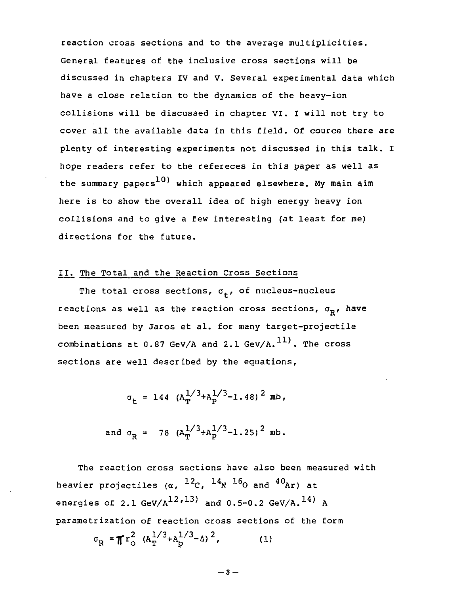reaction cross sections and to the average multiplicities. General features of the inclusive cross sections will be discussed in chapters IV and V. Several experimental data which have a close relation to the dynamics of the heavy-ion collisions will be discussed in chapter VI. I will not try to cover all the available data in this field. Of cource there are plenty of interesting experiments not discussed in this talk. I hope readers refer to the refereces in this paper as well as the summary papers<sup>10</sup>) which appeared elsewhere. My main aim here is to show the overall idea of high energy heavy ion collisions and to give a few interesting (at least for me) directions for the future.

# II. The Total and the Reaction Cross Sections

The total cross sections,  $\sigma_{+}$ , of nucleus-nucleus reactions as well as the reaction cross sections,  $\sigma_p$ , have been measured by Jaros et al. for many target-projectile combinations at 0.87 GeV/A and 2.1 GeV/A.<sup>11</sup>). The cross sections are well described by the equations,

 $\sigma_t$  = 144  $(A_T^{1/3} + A_P^{1/3} - 1.48)^2$  mb,

and 
$$
\sigma_R = 78 (A_T^{1/3} + A_P^{1/3} - 1.25)^2
$$
 mb.

The reaction cross sections have also been measured with heavier projectiles (α, <sup>12</sup>C, <sup>14</sup>N <sup>16</sup>O and <sup>40</sup>Ar) a energies of 2.1 GeV/A $^{12}$ , $^{13)}$  and 0.5-0.2 GeV/A. $^{14}$ <sup>)</sup> A parametrization of reaction cross sections of the form

$$
\sigma_{\rm R} = \pi r_{\rm o}^2 (A_{\rm T}^{1/3} + A_{\rm p}^{1/3} - \Delta)^2, \qquad (1)
$$

$$
-\,\boldsymbol{3}\,-\,
$$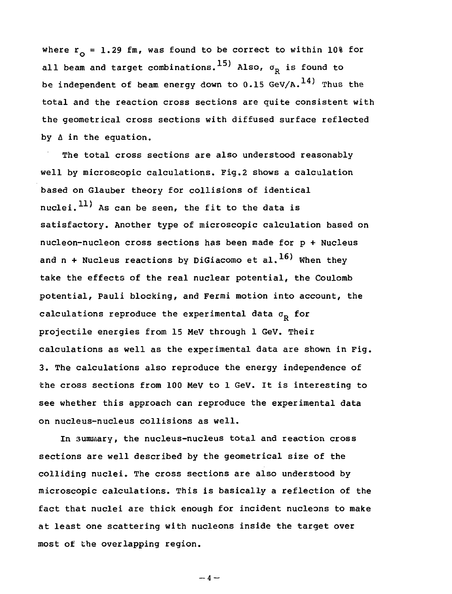where  $r_{0} = 1.29$  fm, was found to be correct to within 10% for all beam and target combinations.<sup>15)</sup> Also,  $\sigma_p$  is found to be independent of beam energy down to  $0.15$  GeV/A.<sup>14)</sup> Thus the total and the reaction cross sections are quite consistent with the geometrical cross sections with diffused surface reflected by  $\Delta$  in the equation.

The total cross sections are also understood reasonably well by microscopic calculations. Fig.2 shows a calculation based on Glauber theory for collisions of identical nuclei. $^{11)}$  As can be seen, the fit to the data is satisfactory. Another type of microscopic calculation based on nucleon-nucleon cross sections has been made for p + Nucleus and n + Nucleus reactions by DiGiacomo et al.  $^{16)}$  When they take the effects of the real nuclear potential, the Coulomb potential, Pauli blocking, and Fermi motion into account, the calculations reproduce the experimental data  $\sigma_{\rm p}$  for projectile energies from 15 MeV through 1 GeV. Their calculations as well as the experimental data are shown in Fig. 3. The calculations also reproduce the energy independence of the cross sections from 100 MeV to 1 GeV. It is interesting to see whether this approach can reproduce the experimental data on nucleus-nucleus collisions as well.

In summary, the nucleus-nucleus total and reaction cross sections are well described by the geometrical size of the colliding nuclei. The cross sections are also understood by microscopic calculations. This is basically a reflection of the fact that nuclei are thick enough for incident nucleons to make at least one scattering with nucleons inside the target over most of the overlapping region.

 $-4-$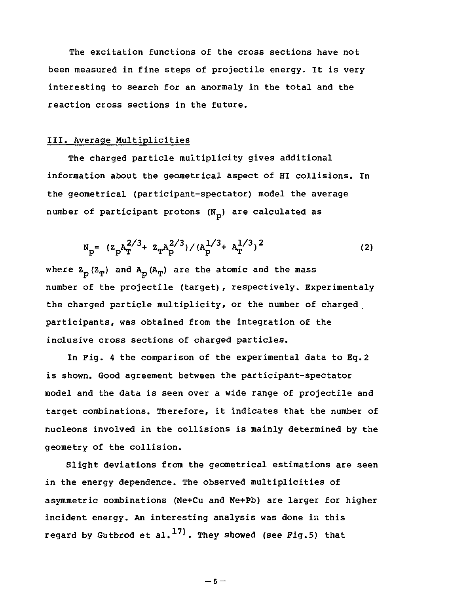The excitation functions of the cross sections have not been measured in fine steps of projectile energy. It is very interesting to search for an anormaly in the total and the reaction cross sections in the future.

# III. Average Multiplicities

The charged particle multiplicity gives additional information about the geometrical aspect of HI collisions. In the geometrical (participant-spectator) model the average number of participant protons  $(N_n)$  are calculated as

$$
N_{p} = (Z_{p}A_{T}^{2/3} + Z_{T}A_{p}^{2/3}) / (A_{p}^{1/3} + A_{T}^{1/3})^{2}
$$
 (2)

where  $Z_p (Z_p)$  and  $A_p (A_p)$  are the atomic and the mass number of the projectile (target), respectively. Experimentaly the charged particle multiplicity, or the number of charged participants, was obtained from the integration of the inclusive cross sections of charged particles.

In Fig. 4 the comparison of the experimental data to Eq.2 is shown. Good agreement between the participant-spectator model and the data is seen over a wide range of projectile and target combinations. Therefore, it indicates that the number of nucleons involved in the collisions is mainly determined by the geometry of the collision.

Slight deviations from the geometrical estimations are seen in the energy dependence. The observed multiplicities of asymmetric combinations (Ne+Cu and Ne+Pb) are larger for higher incident energy. An interesting analysis was done in this regard by Gutbrod et al.<sup>17)</sup>. They showed (see Fig.5) that

 $-5 -$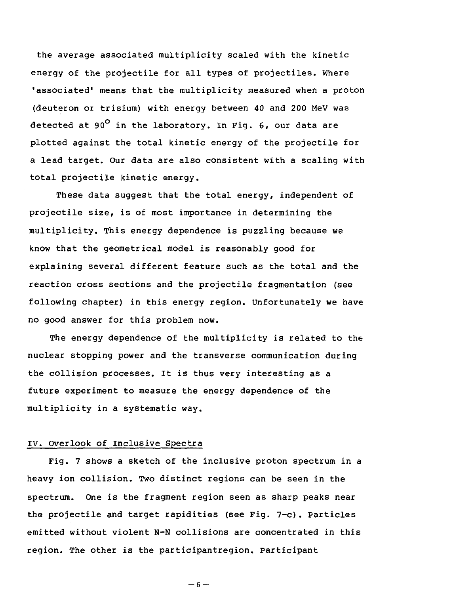the average associated multiplicity scaled with the kinetic energy of the projectile for all types of projectiles. Where 'associated' means that the multiplicity measured when a proton (deuteron or trisium) with energy between 40 and 200 MeV was detected at 90 $^{\circ}$  in the laboratory. In Fig. 6, our data are plotted against the total kinetic energy of the projectile for a lead target. Our data are also consistent with a scaling with total projectile kinetic energy.

These data suggest that the total energy, independent of projectile size, is of most importance in determining the multiplicity. This energy dependence is puzzling because we know that the geometrical model is reasonably good for explaining several different feature such as the total and the reaction cross sections and the projectile fragmentation (see following chapter) in this energy region. Unfortunately we have no good answer for this problem now.

The energy dependence of the multiplicity is related to the nuclear stopping power and the transverse communication during the collision processes. It is thus very interesting as a future experiment to measure the energy dependence of the multiplicity in a systematic way.

# IV. Overlook of Inclusive Spectra

Fig. 7 shows a sketch of the inclusive proton spectrum in a heavy ion collision. Two distinct regions can be seen in the spectrum. One is the fragment region seen as sharp peaks near the projectile and target rapidities (see Fig. 7-c). Particles emitted without violent N-N collisions are concentrated in this region. The other is the participantregion. participant

 $-6-$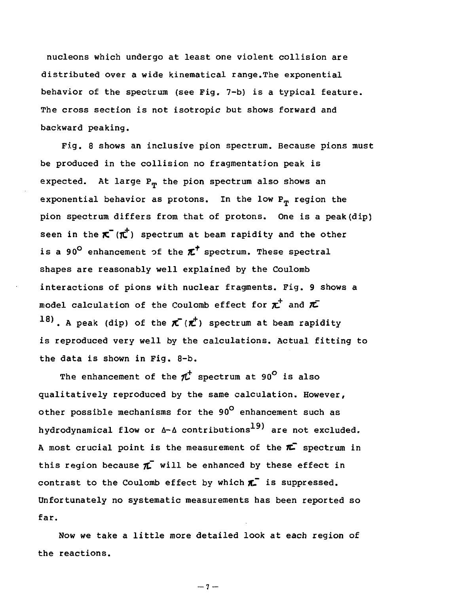nucleons which undergo at least one violent collision are distributed over a wide kinematical range.The exponential behavior of the spectrum (see Pig. 7-b) is a typical feature. The cross section is not isotropic but shows forward and backward peaking.

Fig. 8 shows an inclusive pion spectrum. Because pions must be produced in the collision no fragmentation peak is expected. At large  $P_m$  the pion spectrum also shows an exponential behavior as protons. In the low  $P_m$  region the pion spectrum differs from that of protons. One is a peak(dip) seen in the  $\pi^-(\pi^+)$  spectrum at beam rapidity and the other is a 90<sup>°</sup> enhancement of the  $\pi^\dagger$  spectrum. These spectral shapes are reasonably well explained by the Coulomb interactions of pions with nuclear fragments. Fig. 9 shows a model calculation of the Coulomb effect for  $\pi^{\pm}$  and  $\pi^-$ 18). A peak (dip) of the  $\pi(\vec{r})$  spectrum at beam rapidity is reproduced very well by the calculations. Actual fitting to the data is shown in Fig. 8-b.

The enhancement of the  $\pi^+$  spectrum at 90<sup>°</sup> is also qualitatively reproduced by the same calculation. However, other possible mechanisms for the 90° enhancement such as hydrodynamical flow or A-A contributions $^{19)}$  are not excluded. A most crucial point is the measurement of the  $\pi$  spectrum in this region because  $\pi$  will be enhanced by these effect in contrast to the Coulomb effect by which  $\boldsymbol{\pi}^-$  is suppressed. Unfortunately no systematic measurements has been reported so far.

Now we take a little more detailed look at each region of the reactions.

 $-7 -$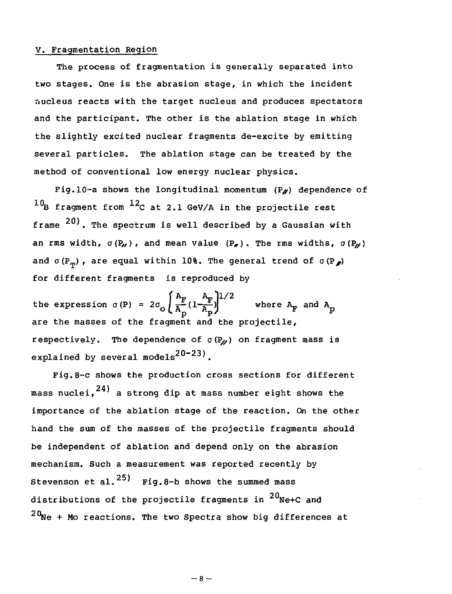### V. Fragmentation Region

The process of fragmentation is generally separated into two stages. One is the abrasion stage, in which the incident nucleus reacts with the target nucleus and produces spectators and the participant. The other is the ablation stage in which the slightly excited nuclear fragments de-excite by emitting several particles. The ablation stage can be treated by the method of conventional low energy nuclear physics.

Fig.10-a shows the longitudinal momentum  $(P_{\ell})$  dependence of  $^{10}$ B fragment from  $^{12}$ C at 2.1 GeV/A in the projectile rest frame  $^{20)}$ . The spectrum is well described by a Gaussian with an rms width,  $\sigma(P_{\nu})$ , and mean value  $(P_{\nu})$ . The rms widths,  $\sigma(P_{\nu})$ and  $\sigma(P_{\eta})$ , are equal within 10%. The general trend of  $\sigma(P_{\chi})$ for different fragments is reproduced by

the expression  $\sigma(P) = 2\sigma_{\odot} \left( \frac{A_F}{A_D} (1 - \frac{A_F}{A_D}) \right)^{1/2}$  where  $A_F$  and  $A_p$ are the masses of the fragment and the projectile, respectively. The dependence of  $\sigma(P_M)$  on fragment mass is explained by several models<sup>20-23)</sup>.

Fig. 8-c shows the production cross sections for different  $\sim$   $\sim$  24) the production cross section cross section cross section cross section cross sections for different cross sections for different cross sections for different cross sections for different cross sections of  $\$ mass nuclei, <sup>241</sup> a strong dip at mass number eight shows the importance of the ablation stage of the reaction. On the other hand the sum of the masses of the projectile fragments should be independent of ablation and depend only on the abrasion mechanism. Such a measurement was reported recently by Stevenson et al.  $25$  Fig.8-b shows the summed mass distributions of the projectile fragments in  $^{20}\space$ Ne+C and  $20$ Ne + Mo reactions. The two Spectra show big differences at

 $-8-$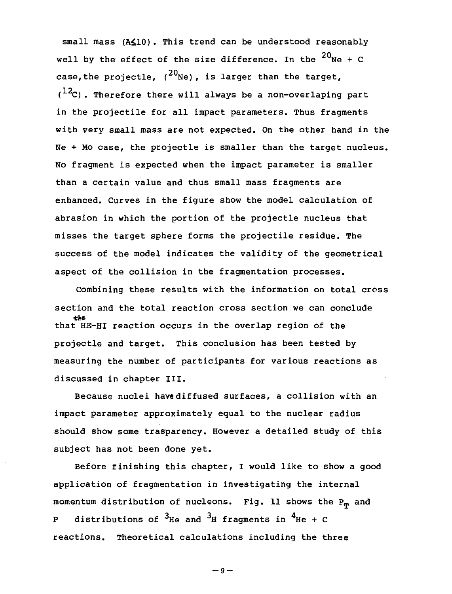small mass (A<10). This trend can be understood reasonably well by the effect of the size difference. In the  $^{20}\mathrm{Ne}$  + C case, the projectle,  $(20_{\text{Ne}})$ , is larger than the target,  $(12)$ . Therefore there will always be a non-overlaping part in the projectile for all impact parameters. Thus fragments with very small mass are not expected. On the other hand in the Ne + Mo case, the projectle is smaller than the target nucleus. No fragment is expected when the impact parameter is smaller than a certain value and thus small mass fragments are enhanced. Curves in the figure show the model calculation of abrasion in which the portion of the projectle nucleus that misses the target sphere forms the projectile residue. The success of the model indicates the validity of the geometrical aspect of the collision in the fragmentation processes.

Combining these results with the information on total cross section and the total reaction cross section we can conclude that HE-HI reaction occurs in the overlap region of the projectle and target. This conclusion has been tested by measuring the number of participants for various reactions as discussed in chapter III.

Because nuclei have diffused surfaces, a collision with an impact parameter approximately equal to the nuclear radius should show some trasparency. However a detailed study of this subject has not been done yet.

Before finishing this chapter, I would like to show a good application of fragmentation in investigating the internal momentum distribution of nucleons. Fig. 11 shows the  $P_m$  and P distributions of <sup>3</sup>He and <sup>3</sup>H fragments in <sup>4</sup>He + reactions. Theoretical calculations including the three

 $-9-$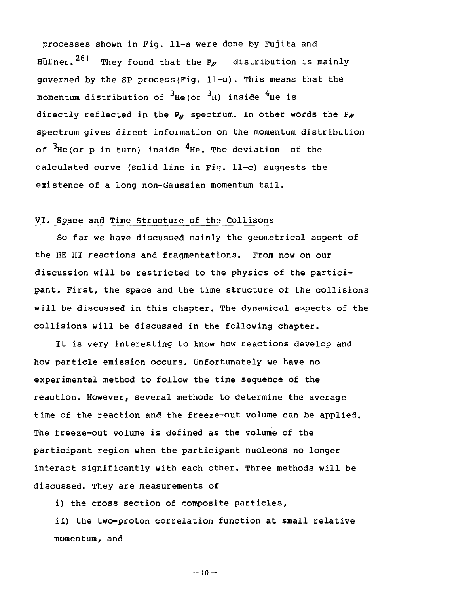processes shown in Fig. 11-a were done by Fujita and Hufner.  $^{26)}$  They found that the P<sub>o</sub> distribution is mainly governed by the SP process(Fig. 11-c). This means that the momentum distribution of  $3H$ e(or  $3H$ ) inside  $4H$ e is directly reflected in the  $P_{\mu}$  spectrum. In other words the  $P_{\mu}$ spectrum gives direct information on the momentum distribution of  $3$ He(or p in turn) inside  $4$ He. The deviation of the calculated curve (solid line in Fig. 11-c) suggests the existence of a long non-Gaussian momentum tail.

# VI. Space and Time Structure of the Collisons

So far we have discussed mainly the geometrical aspect of the HE HI reactions and fragmentations. From now on our discussion will be restricted to the physics of the participant. First, the space and the time structure of the collisions will be discussed in this chapter. The dynamical aspects of the collisions will be discussed in the following chapter.

It is very interesting to know how reactions develop and how particle emission occurs. Unfortunately we have no experimental method to follow the time sequence of the reaction. However, several methods to determine the average time of the reaction and the freeze-out volume can be applied. The freeze-out volume is defined as the volume of the participant region when the participant nucleons no longer interact significantly with each other. Three methods will be discussed. They are measurements of

i) the cross section of composite particles,

ii) the two-proton correlation function at small relative momentum, and

 $-10 -$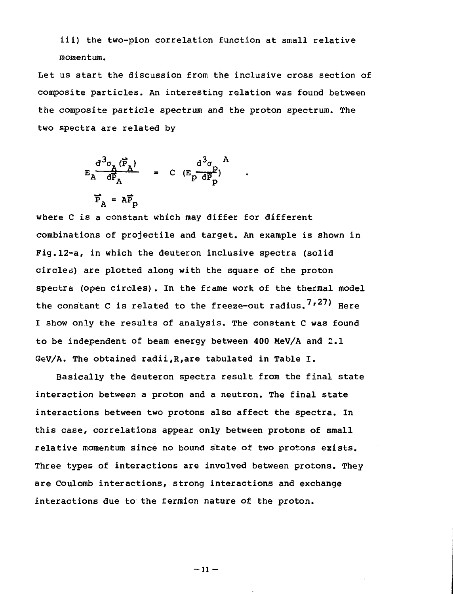iii) the two-pion correlation function at small relative momentum.

Let us start the discussion from the inclusive cross section of composite particles. An interesting relation was found between the composite particle spectrum and the proton spectrum. The two spectra are related by

$$
E_{A} \frac{d^{3}\sigma_{A} (\vec{P}_{A})}{d\vec{P}_{A}} = C (E_{P} \frac{d^{3}\sigma_{P}}{d\vec{P}_{P}})^{A}
$$

$$
\vec{P}_{A} = A \vec{P}_{P}
$$

where C is a constant which may differ for different combinations of projectile and target. An example is shown in Fig.l2-a, in which the deuteron inclusive spectra (solid circles) are plotted along with the square of the proton spectra (open circles). In the frame work of the thermal model the constant C is related to the freeze-out radius.  $7,27$ ) Here I show only the results of analysis. The constant C was found to be independent of beam energy between 400 MeV/A and 2.1 GeV/A. The obtained radii,R,are tabulated in Table I.

Basically the deuteron spectra result from the final state interaction between a proton and a neutron. The final state interactions between two protons also affect the spectra. In this case, correlations appear only between protons of small relative momentum since no bound state of two protons exists. Three types of interactions are involved between protons. They are Coulomb interactions, strong interactions and exchange interactions due to the fermion nature of the proton.

 $-11 -$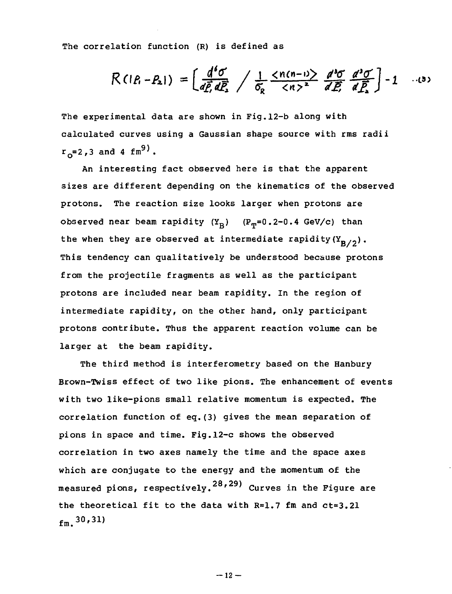The correlation function (R) is defined as

$$
R(IP_1-P_2I) = \left[ \frac{d^4\sigma}{d\vec{P_1} d\vec{P_2}} \middle/ \frac{1}{\sigma_R} \frac{\langle n(n-1) \rangle}{\langle n \rangle^2} \frac{d^3\sigma}{d\vec{P_2}} \frac{d^3\sigma}{d\vec{P_2}} \right] - 1 \quad \dots (3)
$$

The experimental data are shown in Fig.l2-b along with calculated curves using a Gaussian shape source with rms radii  $r_{e}=2.3$  and 4 fm<sup>9</sup>).

An interesting fact observed here is that the apparent sizes are different depending on the kinematics of the observed protons. The reaction size looks larger when protons are observed near beam rapidity  $(Y_n)$  (P<sub>m</sub>=0.2-0.4 GeV/c) than the when they are observed at intermediate rapidity( $Y_{p/2}$ ). This tendency can qualitatively be understood because protons from the projectile fragments as well as the participant protons are included near beam rapidity. In the region of intermediate rapidity, on the other hand, only participant protons contribute. Thus the apparent reaction volume can be larger at the beam rapidity.

The third method is interferometry based on the Hanbury Brown-Twiss effect of two like pions. The enhancement of events with two like-pions small relative momentum is expected. The correlation function of eq.(3) gives the mean separation of pions in space and time. Fig.l2-c shows the observed correlation in two axes namely the time and the space axes which are conjugate to the energy and the momentum of the measured pions, respectively. $^{28,29)}$  Curves in the Figure are the theoretical fit to the data with R=1.7 fm and ct=3.21 fm. $^{30,31}$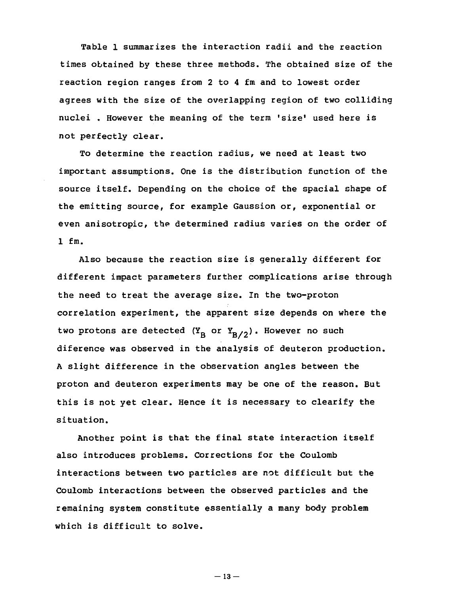Table 1 summarizes the interaction radii and the reaction times obtained by these three methods. The obtained size of the reaction region ranges from 2 to 4 fm and to lowest order agrees with the size of the overlapping region of two colliding nuclei, However the meaning of the term 'size' used here is not perfectly clear.

To determine the reaction radius, we need at least two important assumptions. One is the distribution function of the source itself. Depending on the choice of the spacial shape of the emitting source, for example Gaussion or, exponential or even anisotropic, the determined radius varies on the order of 1 fm.

Also because the reaction size is generally different for different impact parameters further complications arise through the need to treat the average size. In the two-proton correlation experiment, the apparent size depends on where the two protons are detected  $(Y_B \text{ or } Y_{B/2})$ . However no such diference was observed in the analysis of deuteron production. A slight difference in the observation angles between the proton and deuteron experiments may be one of the reason. But this is not yet clear. Hence it is necessary to clearify the situation.

Another point is that the final state interaction itself also introduces problems. Corrections for the Coulomb interactions between two particles are not difficult but the Coulomb interactions between the observed particles and the remaining system constitute essentially a many body problem which is difficult to solve.

 $-13-$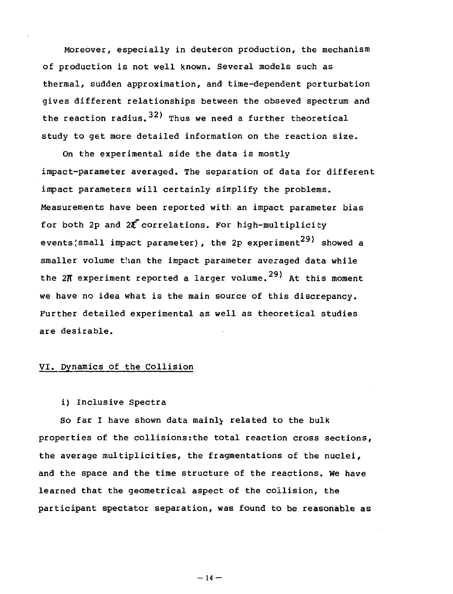Moreover, especially in deuteron production, the mechanism of production is not well known. Several models such as thermal, sudden approximation, and time-dependent perturbation gives different relationships between the obseved spectrum and the reaction radius.  $32)$  Thus we need a further theoretical study to get more detailed information on the reaction size.

On the experimental side the data is mostly impact-parameter averaged. The separation of data for different impact parameters will certainly simplify the problems. Measurements have been reported with an impact parameter bias for both 2p and  $2\vec{r}$  correlations. For high-multiplicity events(small impact parameter), the 2p experiment<sup>29)</sup> showed a smaller volume than the impact parameter averaged data while the 2 $\pi$  experiment reported a larger volume.<sup>29)</sup> At this moment we have no idea what is the main source of this discrepancy. Further detailed experimental as well as theoretical studies are desirable.

#### VI. Dynamics of the Collision

# i) Inclusive Spectra

So far I have shown data mainly related to the bulk properties of the collisions:the total reaction cross sections, the average multiplicities, the fragmentations of the nuclei, and the space and the time structure of the reactions. We have learned that the geometrical aspect of the collision, the participant spectator separation, was found to be reasonable as

 $-14 -$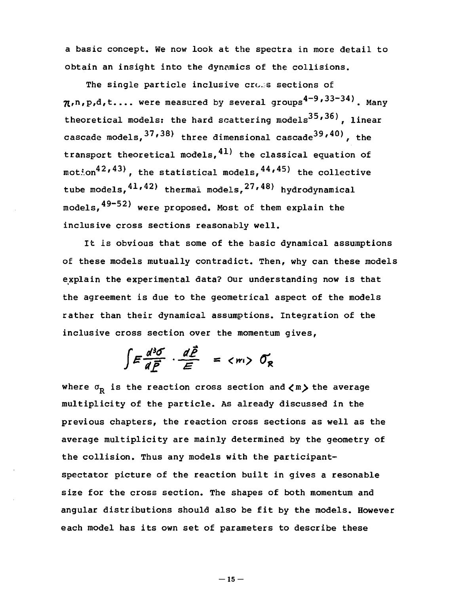a basic concept. We now look at the spectra in more detail to obtain an insight into the dynamics of the collisions.

The single particle inclusive cross sections of  $\pi$ ,n,p,d,t.... were measured by several groups $^{\mathbf{q}-\mathbf{y}},$   $^{\mathbf{3}\mathbf{3}-\mathbf{3}\mathbf{4}\mathbf{)}}$ . Many theoretical models: the hard scattering models<sup>35,36</sup>). linear cascade models,<sup>37,38)</sup> three dimensional cascade<sup>39,40)</sup>, the transport theoretical models, $^{41}$  the classical equation of motion<sup>42,43)</sup>, the statistical models,<sup>44,45)</sup> the collective tube models,<sup>41,42)</sup> thermal models,<sup>27,46)</sup> hydrodynamical models,  $49-52$ ) were proposed. Most of them explain the inclusive cross sections reasonably well.

It is obvious that some of the basic dynamical assumptions of these models mutually contradict. Then, why can these models explain the experimental data? Our understanding now is that the agreement is due to the geometrical aspect of the models rather than their dynamical assumptions. Integration of the inclusive cross section over the momentum gives,

$$
\int E \frac{d^3 \sigma}{d \vec{F}} \cdot \frac{d \vec{F}}{E} = \langle m \rangle \ \sigma_R
$$

where  $\sigma_{\rm p}$  is the reaction cross section and  $\langle m \rangle$  the average multiplicity of the particle. As already discussed in the previous chapters, the reaction cross sections as well as the average multiplicity are mainly determined by the geometry of the collision. Thus any models with the participantspectator picture of the reaction built in gives a resonable size for the cross section. The shapes of both momentum and angular distributions should also be fit by the models. However each model has its own set of parameters to describe these

 $-15-$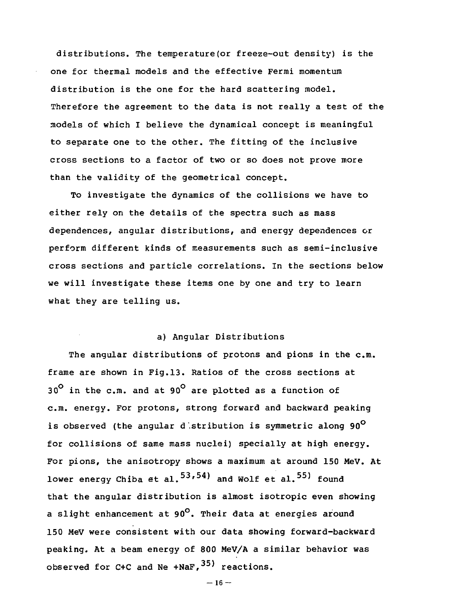distributions. The temperature(or freeze-out density) is the one for thermal models and the effective Fermi momentum distribution is the one for the hard scattering model. Therefore the agreement to the data is not really a test of the models of which I believe the dynamical concept is meaningful to separate one to the other. The fitting of the inclusive cross sections to a factor of two or so does not prove more than the validity of the geometrical concept.

To investigate the dynamics of the collisions we have to either rely on the details of the spectra such as mass dependences, angular distributions, and energy dependences or perform different kinds of measurements such as semi-inclusive cross sections and particle correlations. In the sections below we will investigate these items one by one and try to learn what they are telling us.

#### a) Angular Distributions

The angular distributions of protons and pions in the  $c.m.$ frame are shown in Fig.13. Ratios of the cross sections at  $30^{\circ}$  in the c.m. and at 90<sup>°</sup> are plotted as a function of c.m. energy. For protons, strong forward and backward peaking is observed (the angular d stribution is symmetric along  $90^{\circ}$ for collisions of same mass nuclei) specially at high energy. For pions, the anisotropy shows a maximum at around 150 MeV. At lower energy Chiba et al. $^{53,54)}$  and Wolf et al. $^{55)}$  found that the angular distribution is almost isotropic even showing a slight enhancement at  $90^\circ$ . Their data at energies around 150 MeV were consistent with our data showing forward-backward peaking. At a beam energy of 800 MeV/A a similar behavior was observed for C+C and Ne +NaF,  $35$ ) reactions.

```
-16 -
```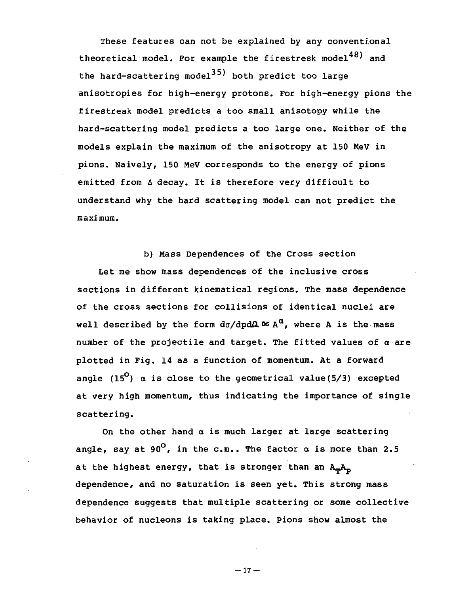These features can not be explained by any conventional theoretical model. For example the firestresk model<sup>48)</sup> and the hard-scattering model<sup>35)</sup> both predict too large anisotropies for high-energy protons. For high-energy pions the firestreak model predicts a too small anisotopy while the hard-scattering model predicts a too large one. Neither of the models explain the maximum of the anisotropy at 150 MeV in pions. Naively, 150 MeV corresponds to the energy of pions emitted from A decay. It is therefore very difficult to understand why the hard scattering model can not predict the maximum.

b) Mass Dependences of the Cross section Let me show mass dependences of the inclusive cross sections in different kinematical regions. The mass dependence of the cross sections for collisions of identical nuclei are well described by the form  $d\sigma/dp d\Omega \propto A^{\alpha}$ , where A is the mass number of the projectile and target. The fitted values of  $\alpha$  are plotted in Fig. 14 as a function of momentum. At a forward angle (15<sup>0</sup>)  $\alpha$  is close to the geometrical value(5/3) excepted at very high momentum, thus indicating the importance of single scattering.

On the other hand  $\alpha$  is much larger at large scattering angle, say at 90<sup>°</sup>, in the c.m.. The factor  $\alpha$  is more than 2.5 at the highest energy, that is stronger than an  $A_mA_p$ dependence, and no saturation is seen yet. This strong mass dependence suggests that multiple scattering or some collective behavior of nucleons is taking place. Pions show almost the

 $-17-$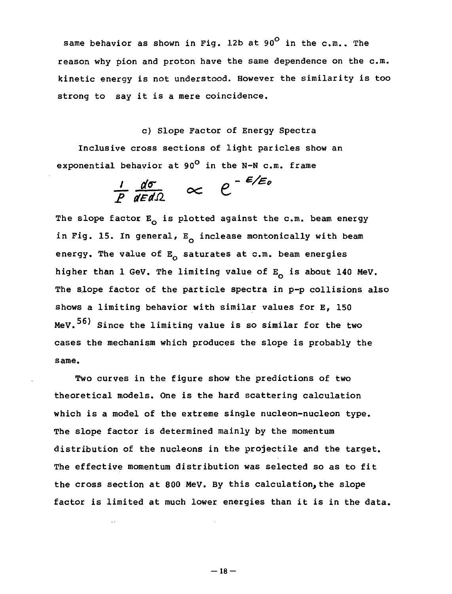same behavior as shown in Fig. 12b at 90 $^{\circ}$  in the c.m.. The reason why pion and proton have the same dependence on the  $c.m.$ kinetic energy is not understood. However the similarity is too strong to say it is a mere coincidence.

c) Slope Factor of Energy Spectra

Inclusive cross sections of light paricles show an exponential behavior at 90 $^{\circ}$  in the N-N c.m. frame

$$
\frac{1}{P}\frac{d\sigma}{dEd\Omega} \quad \propto \quad e^{-\frac{E}{E/d}}
$$

The slope factor  $E_0$  is plotted against the c.m. beam energy in Fig. 15. In general,  $E_{\alpha}$  inclease montonically with beam energy. The value of  $E_0$  saturates at c.m. beam energies higher than 1 GeV. The limiting value of  $E_Q$  is about 140 MeV. The slope factor of the particle spectra in p-p collisions also shows a limiting behavior with similar values for E, 150  $MeV.$ <sup>56)</sup> Since the limiting value is so similar for the two cases the mechanism which produces the slope is probably the same.

Two curves in the figure show the predictions of two theoretical models. One is the hard scattering calculation which is a model of the extreme single nucleon-nucleon type. The slope factor is determined mainly by the momentum distribution of the nucleons in the projectile and the target. The effective momentum distribution was selected so as to fit the cross section at 800 MeV. By this calculation, the slope factor is limited at much lower energies than it is in the data.

 $-18-$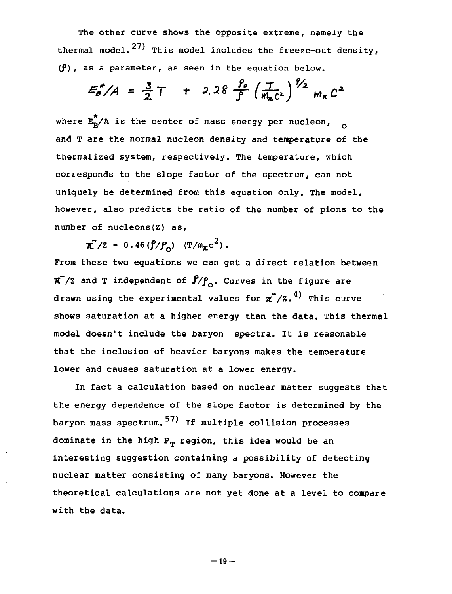The other curve shows the opposite extreme, namely the thermal model.<sup>27)</sup> This model includes the freeze-out density,  $(\beta)$ , as a parameter, as seen in the equation below.

$$
E_{\rho}^{*}/A = \frac{3}{2}T + 2.28 \frac{\rho_{\rho}}{\rho} \left(\frac{T}{m_{\pi}c^{2}}\right)^{\frac{p}{2}} m_{\pi} c^{2}
$$

where  $E_p^*$ /A is the center of mass energy per nucleon, and T are the normal nucleon density and temperature of the thermalized system, respectively. The temperature, which corresponds to the slope factor of the spectrum, can not uniquely be determined from this equation only. The model, however, also predicts the ratio of the number of pions to the number of nucleons(Z) as,

 $\pi^{7}/\pi$  = 0.46( $\int f/P_{c}$ ) ( $T/m_{\pi}c^{2}$ ).

From these two equations we can get a direct relation between  $\pi$ /Z and T independent of  $\beta/\beta$ . Curves in the figure are drawn using the experimental values for  $\pi^{-}/z$ .<sup>4)</sup> This curve shows saturation at a higher energy than the data. This thermal model doesn't include the baryon spectra. It is reasonable that the inclusion of heavier baryons makes the temperature lower and causes saturation at a lower energy.

In fact a calculation based on nuclear matter suggests that the energy dependence of the slope factor is determined by the baryon mass spectrum.<sup>57)</sup> If multiple collision processes dominate in the high  $P_m$  region, this idea would be an interesting suggestion containing a possibility of detecting nuclear matter consisting of many baryons. However the theoretical calculations are not yet done at a level to compare with the data.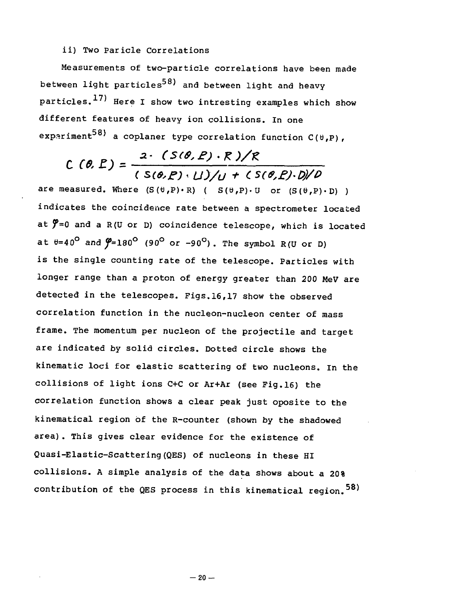# ii) Two Paricle Correlations

Measurements of two-particle correlations have been made between light particles<sup>58)</sup> and between light and heavy particles.<sup>17)</sup> Here I show two intresting examples which show different features of heavy ion collisions. In one expariment<sup>58)</sup> a coplaner type correlation function C(0,P),

# $C (0, P) = \frac{2 \cdot (S(0, P) \cdot R)/R}{(S(0, P) \cdot U)/U + (S(0, P) \cdot D)/D}$

are measured. Where  $(S(\theta, P) \cdot R)$  (  $S(\theta, P) \cdot U$  or  $(S(\theta, P) \cdot D)$  ) indicates the coincidence rate between a spectrometer located at  $\tilde{y}$ =0 and a R(U or D) coincidence telescope, which is located at  $\theta$ =40<sup>°</sup> and  $\theta$ =180<sup>°</sup> (90<sup>°</sup> or -90<sup>°</sup>). The symbol R(U or D) is the single counting rate of the telescope. Particles with longer range than a proton of energy greater than 200 MeV are detected in the telescopes. Figs. 16, 17 show the observed correlation function in the nucleon-nucleon center of mass frame. The momentum per nucleon of the projectile and target are indicated by solid circles. Dotted circle shows the kinematic loci for elastic scattering of two nucleons. In the collisions of light ions C+C or Ar+Ar (see Fig.16) the correlation function shows a clear peak just oposite to the kinematical region of the R-counter (shown by the shadowed area). This gives clear evidence for the existence of Quasi-Elastic-Scattering (QES) of nucleons in these HI collisions. A simple analysis of the data shows about a 20% contribution of the QES process in this kinematical region.  $58$ )

contribution of the QES process in this kinematical region.58)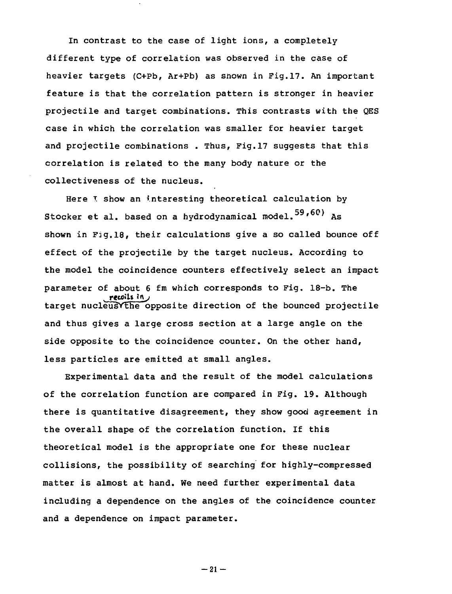In contrast to the case of light ions, a completely different type of correlation was observed in the case of heavier targets (C+Pb, Ar+Pb) as shown in Fig.17. An important feature is that the correlation pattern is stronger in heavier projectile and target combinations. This contrasts with the QES case in which the correlation was smaller for heavier target and projectile combinations . Thus, Fig.17 suggests that this correlation is related to the many body nature or the collectiveness of the nucleus.

Here I show an interesting theoretical calculation by Stocker et al. based on a hydrodynamical model.  $59,60$  As shown in Fig.18, their calculations give a so called bounce off effect of the projectile by the target nucleus. According to the model the coincidence counters effectively select an impact parameter of about 6 fm which corresponds to Fig. 18-b. The recoils tnj target nucleusYthe opposite direction of the bounced projectile and thus gives a large cross section at a large angle on the side opposite to the coincidence counter. On the other hand, less particles are emitted at small angles.

Experimental data and the result of the model calculations of the correlation function are compared in Fig. 19. Although there is quantitative disagreement, they show good agreement in the overall shape of the correlation function. If this theoretical model is the appropriate one for these nuclear collisions, the possibility of searching for highly-compressed matter is almost at hand. We need further experimental data including a dependence on the angles of the coincidence counter and a dependence on impact parameter.

 $-21 -$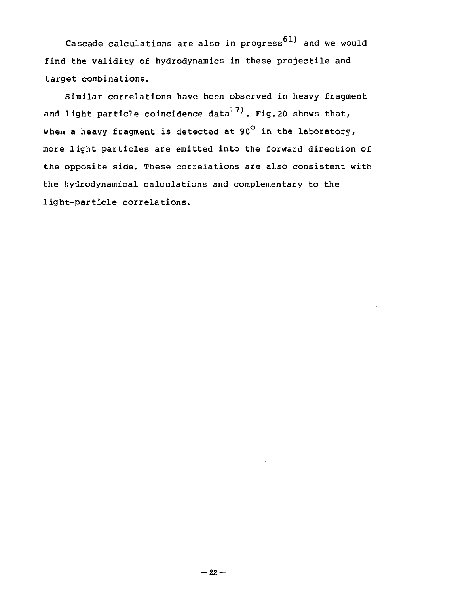Cascade calculations are also in progress<sup>61)</sup> and we would find the validity of hydrodynamics in these projectile and target combinations.

Similar correlations have been observed in heavy fragment and light particle coincidence data<sup>17)</sup>. Fig.20 shows that, when a heavy fragment is detected at 90 $^{\circ}$  in the laboratory, more light particles are emitted into the forward direction of the opposite side. These correlations are also consistent with the hydrodynamical calculations and complementary to the light-particle correlations.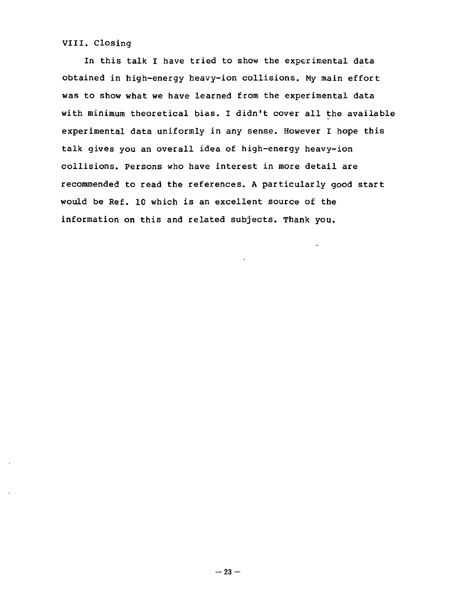VIII. Closing

In this talk I have tried to show the experimental data obtained in high-energy heavy-ion collisions. My main effort was to show what we have learned from the experimental data with minimum theoretical bias. I didn't cover all the available experimental data uniformly in any sense. However I hope this talk gives you an overall idea of high-energy heavy-ion collisions. Persons who have interest in more detail are recommended to read the references. A particularly good start would be Ref. 10 which is an excellent source of the information on this and related subjects. Thank you.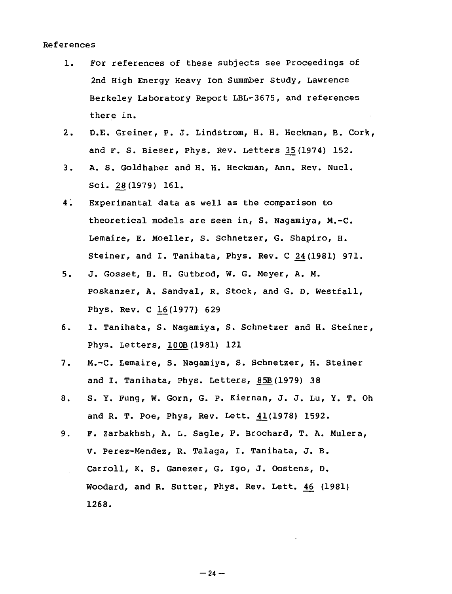#### References

- 1. For references of these subjects see Proceedings of 2nd High Energy Heavy Ion Summber Study, Lawrence Berkeley Laboratory Report LBL-3675, and references there in.
- 2. D.E. Greiner, P. J. Lindstrom, H. H. Heckman, B. Cork, and F. S. Bieser, Phys. Rev. Letters 35(1974) 152.
- 3. A. S. Goldhaber and H. H. Heckman, Ann. Rev. Nucl. Sci. 28(1979) 161.
- 4. Experimantal data as well as the comparison to theoretical models are seen in, S. Nagamiya, M.-C. Lemaire, E. Moeller, S. Schnetzer, G. Shapiro, H. Steiner, and I. Tanihata, Phys. Rev. C ^4(1981) 971.
- 5. J. Gosset, H. H. Gutbrod, W. G. Meyer, A. M. Poskanzer, A. Sandval, R. Stock, and G. D. Westfall, Phys. Rev. C 16(1977) 629
- 6. I. Tanihata, S. Nagamiya, S. Schnetzer and H. Steiner, Phys. Letters, 100B (1981) 121
- 7. M.-C. Lemaire, S. Nagamiya, S. Schnetzer, H. Steiner and I. Tanihata, Phys. Letters, 85B (1979) 38
- 8. S. Y. Fung, W. Gorn, G. P. Kiernan, J. J. Lu, Y. T. Oh and R. T. Poe, Phys, Rev. Lett. 43.(1978) 1592.
- 9. F. Zarbakhsh, A. L. Sagle, F. Brochard, T. A. Mulera, V. Perez-Mendez, R. Talaga, I. Tanihata, J. B. Carroll, K. S. Ganezer, G. Igo, J. Oostens, D. Woodard, and R. Sutter, Phys. Rev. Lett. 46 (1981) 1268.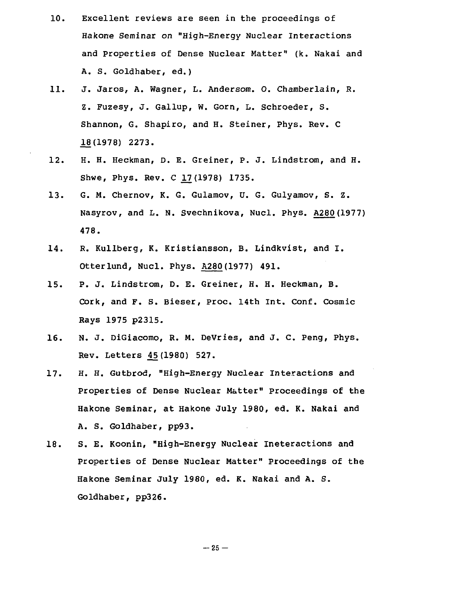- 10. Excellent reviews are seen in the proceedings of Hakone Seminar on "High-Energy Nuclear Interactions and properties of Dense Nuclear Matter" (k. Nakai and A. S. Goldhaber, ed.)
- 11. J. Jaros, A. Wagner, L. Andersom. O. Chamberlain, R. Z. Fuzesy, J. Gallup, W. Gorn, L. Schroeder, S. Shannon, G. Shapiro, and H. Steiner, Phys. Rev. C JL8(1978) 2273.
- 12. H. H. Heckman, D. E. Greiner, P. J. Lindstrom, and H. Shwe, Phys. Rev. C 17(1978) 1735.
- 13. G. M. Chernov, K. G. Gulamov, U. G. Gulyamov, S. Z. Nasyrov, and L. N. Svechnikova, Nucl. Phys. A280 (1977) 478.
- 14. R. Kullberg, K. Kristiansson, B. Lindkvist, and I. Otterlund, Nucl. Phys. A280(1977) 491.
- 15. P. J. Lindstrom, D. E. Greiner, H. H. Heckman, B. Cork, and F. S. Bieser, proc. 14th Int. Conf. Cosmic Rays 1975 p2315.
- 16. N. J. DiGiacomo, R. M. DeVries, and J. C. Peng, Phys. Rev. Letters 45(1980) 527.
- 17. H. H. Gutbrod, "High-Energy Nuclear Interactions and Properties of Dense Nuclear Matter" Proceedings of the Hakone Seminar, at Hakone July 1980, ed. K. Nakai and A. S. Goldhaber, pp93.
- 18. S. E. Koonin, "High-Energy Nuclear Ineteractions and Properties of Dense Nuclear Matter" Proceedings of the Hakone Seminar July 1980, ed. K. Nakai and A. S. Goldhaber, pp326.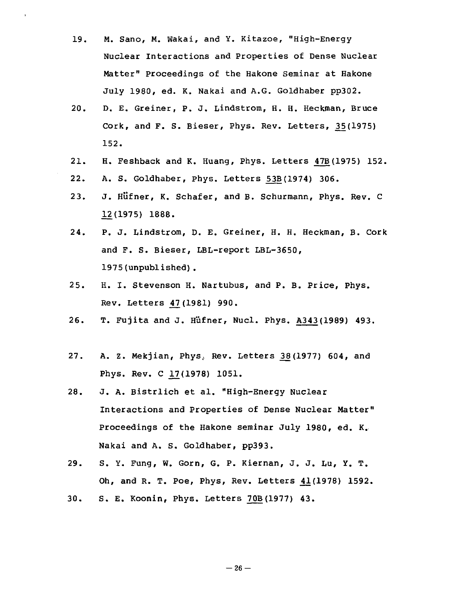- 19. M. Sano, M. Wakai, and Y. Kitazoe, "High-Energy Nuclear Interactions and Properties of Dense Nuclear Matter" Proceedings of the Hakone Seminar at Hakone July 1980, ed. K. Nakai and A.G. Goldhaber pp302.
- 20. D. E. Greiner, P. J. Lindstrom, H. H. Heckman, Bruce Cork, and F. S. Bieser, Phys. Rev. Letters, 35 (1975) 152.
- 21. H. Feshback and K. Huang, Phys. Letters 47B(1975) 152.
- 22. A. S. Goldhaber, Phys. Letters \_53B(1974) 306.
- 23. J. Hufner, K. Schafer, and B. Schurraann, Phys. Rev. C 12(1975) 1888.
- 24. P. J. Lindstrom, D. E. Greiner, H. H. Heckman, B. Cork and F. S. Bieser, LBL-report LBL-3650, 1975(unpublished).
- 25. H. I. Stevenson H. Nartubus, and P. B. Price, Phys. Rev. Letters £7(1981) 990.
- 26. T. Fujita and J. Hufner, Nucl. Phys. A343(1989) 493.
- 27. A. Z. Mekjian, Phys,, Rev. Letters 2§(1977) 604, and Phys. Rev. C 17(1978) 1051.
- 28. J. A. Bistrlich et al. "High-Energy Nuclear Interactions and Properties of Dense Nuclear Matter" Proceedings of the Hakone seminar July 1980, ed. K. Nakai and A. S. Goldhaber, pp393.
- 29. S. Y. Fung, W. Gorn, G. P. Kiernan, J. J. Lu, Y. T. Oh, and R. T. Poe, Phys, Rev. Letters 41(1978) 1592.
- 30. S. E. Koonin, Phys. Letters 70B{1977) 43.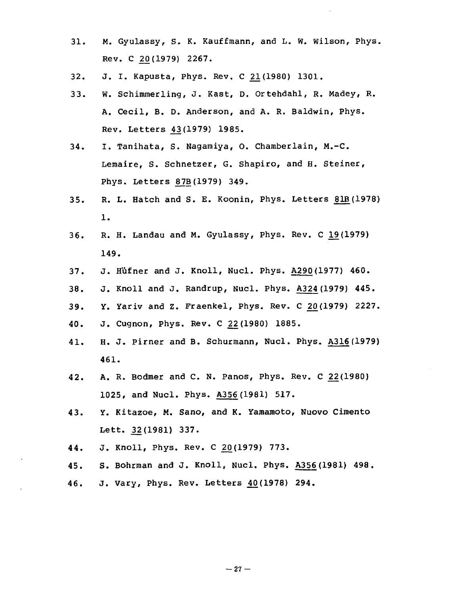- 31. M. Gyulassy, S. K. Kauffmann, and L. W. Wilson, Phys. Rev. C 20(1979) 2267.
- 32. J. I. Kapusta, Phys. Rev. C 21(1980) 1301.
- 33. W. Schimmerling, J. Kast, D. Ortehdahl, R. Madey, R. A. Cecil, B. D. Anderson, and A. R. Baldwin, Phys. Rev. Letters 43(1979) 1985.
- 34. I. Tanihata, S. Nagamiya, O. Chamberlain, M.-C. Lemaire, S. Schnetzer, G. Shapiro, and H. Steiner, Phys. Letters 87B(1979) 349.
- 35. R. L. Hatch and S. E. Koonin, Phys. Letters 81B(1978) 1.
- 36. R. H. Landau and M. Gyulassy, Phys. Rev. C 19(1979) 149.
- 37. J. Hufner and J. Knoll, Nucl. Phys. A290(1977) 460.
- 38. J. Knoll and J. Randrup, Nucl. Phys. A324 (1979) 445.
- 39. Y. Yariv and Z. Fraenkel, Phys. Rev. C ^(!979) 2227.
- 40. J. Cugnon, Phys. Rev. C 22(1980) 1885.
- 41. H. J. Pirner and B. Schurmann, Nucl. Phys. A316(1979) 461.
- 42. A. R. Bodmer and C. N. Panos, Phys. Rev. C 22(1980) 1025, and Nucl. Phys. A356(1981) 517.
- 43. Y. Kitazoe, M. Sano, and K. Yamamoto, Nuovo Cimento Lett. 32(1981) 337.
- 44. J. Knoll, Phys. Rev. C 20(1979) 773.
- 45. S. Bohrman and J. Knoll, Nucl. Phys. A356(1981) 498.
- 46. J. Vary, Phys. Rev. Letters ^0(1978) 294.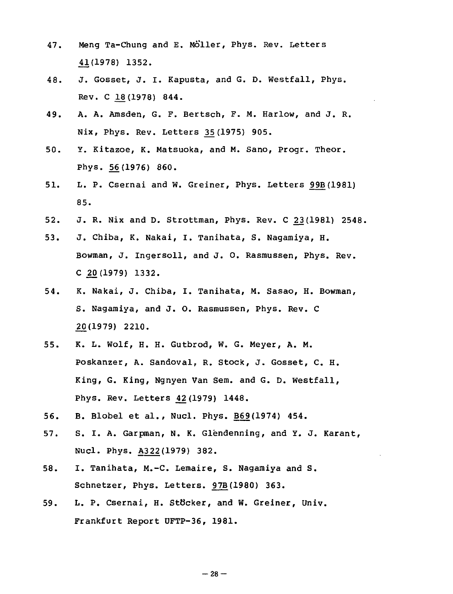- 47. Meng Ta-Chung and E. Möller, Phys. Rev. Letters 41(1978) 1352.
- 48. J. Gosset, J. I. Kapusta, and G. D. Westfall, Phys. Rev. C 18(1978) 844.
- 49. A. A. Amsden, G. F. Bertsch, F. M. Harlow, and J. R. Nix, Phys. Rev. Letters 35(1975) 905.
- 50. Y. Kitazoe, K. Matsuoka, and M. Sano, Progr. Theor. Phys. 56(1976) 860.
- 51. L. P. Csernai and W. Greiner, Phys. Letters 99B(1981) 85.
- 52. J. R. Nix and D. Strottman, Phys. Rev. C £3(1981) 2548.
- 53. J. Chiba, K. Nakai, I. Tanihata, S. Nagamiya, H. Bowman, J. Ingersoll, and J. 0. Rasmussen, Phys. Rev. C 20(1979) 1332.
- 54. K. Nakai, J. Chiba, I. Tanihata, M. Sasao, H. Bowman, S. Nagamiya, and J. O. Rasmussen, Phys. Rev. C 20(1979) 2210.
- 55. K. L. Wolf, H. H. Gutbrod, W. G. Meyer, A. M. Poskanzer, A. Sandoval, R. Stock, J. Gosset, C. H. King, G. King, Ngnyen Van Sem. and G. D. Westfall, Phys. Rev. Letters ^2(1979) 1448.
- 56. B. Blobel et al., Nucl. Phys. B69(1974) 454.
- 57. S. I. A. Garpman, N. K. Glendenning, and Y. J. Karant, Nucl. Phys. A322(1979) 382.
- 58. I. Tanihata, M.-C. Lemaire, S. Nagamiya and S. Schnetzer, Phys. Letters. 97B(1980) 363.
- 59. L. P. Csernai, H. StOcker, and W. Greiner, Univ. Frankfurt Report UFTP-36, 1981.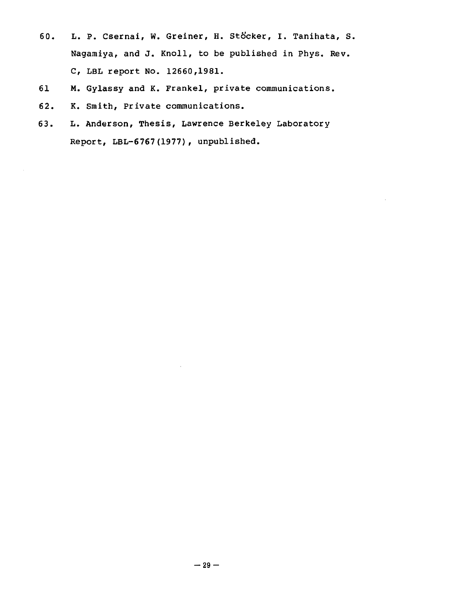- 60. L. P. Csernai, W. Greiner, H. Stöcker, I. Tanihata, S. Nagamiya, and J. Knoll, to be published in Phys. Rev. C, LBL report No. 12660,1981.
- 61 M. Gylassy and K. Frankel, private communications.
- 62. K. Smith, Private communications.
- 63. L. Anderson, Thesis, Lawrence Berkeley Laboratory Report, LBL-6767(1977), unpublished.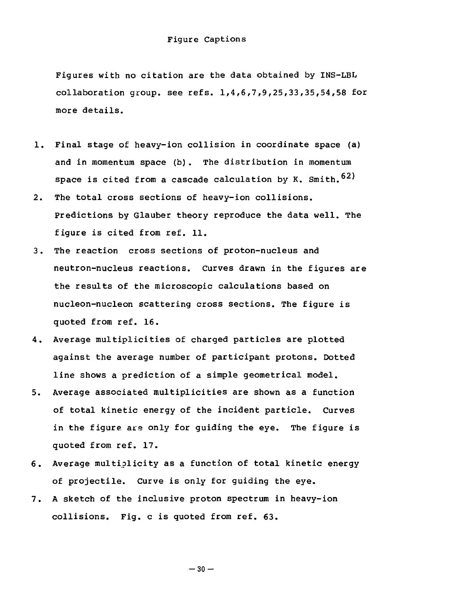Figures with no citation are the data obtained by INS-LBL collaboration group. see refs.  $1,4,6,7,9,25,33,35,54,58$  for more details.

- 1. Final stage of heavy-ion collision in coordinate space (a) and in momentum space (b). The distribution in momentum space is cited from a cascade calculation by K. Smith.  $62$ )
- 2. The total cross sections of heavy-ion collisions. Predictions by Glauber theory reproduce the data well. The figure is cited from ref. 11.
- 3. The reaction cross sections of proton-nucleus and neutron-nucleus reactions. Curves drawn in the figures are the results of the microscopic calculations based on nucleon-nucleon scattering cross sections. The figure is quoted from ref. 16.
- 4. Average multiplicities of charged particles are plotted against the average number of participant protons. Dotted line shows a prediction of a simple geometrical model.
- 5. Average associated multiplicities are shown as a function of total kinetic energy of the incident particle. Curves in the figure are only for guiding the eye. The figure is quoted from ref. 17.
- 6. Average multiplicity as a function of total kinetic energy of projectile. Curve is only for guiding the eye.
- 7. A sketch of the inclusive proton spectrum in heavy-ion collisions. Fig. c is quoted from ref. 63.

 $-30 -$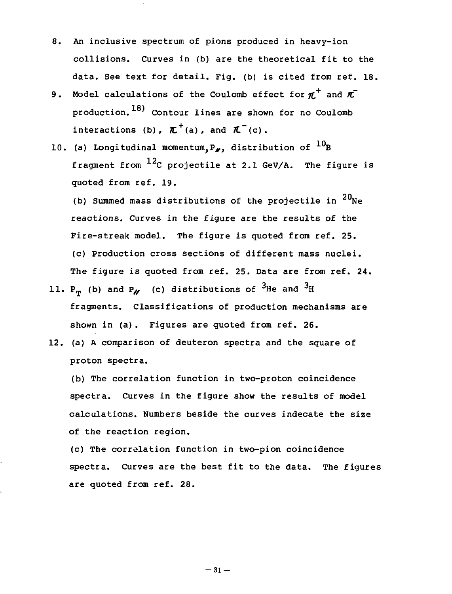- 8. An inclusive spectrum of pions produced in heavy-ion collisions. Curves in (b) are the theoretical fit to the data. See text for detail. Pig. (b) is cited from ref. 18.
- 9. Model calculations of the Coulomb effect for  $\pi^+$  and  $\pi^$ production.<sup>18)</sup> Contour lines are shown for no Coulomb interactions (b),  $\boldsymbol{\pi}^{\dagger}$ (a), and  $\boldsymbol{\pi}^{\dagger}$ (c).
- 10. (a) Longitudinal momentum,  $P_{\ell}$ , distribution of  $^{10}$ B fragment from  $^{12}$ C projectile at 2.1 GeV/A. The figure is quoted from ref. 19.

(b) Summed mass distributions of the projectile in  $^{20}$ Ne reactions. Curves in the figure are the results of the Fire-streak model. The figure is quoted from ref. 25. (c) Production cross sections of different mass nuclei. The figure is guoted from ref. 25. Data are from ref. 24.

- 11.  $P_{\eta}$  (b) and  $P_{\gamma}$  (c) distributions of <sup>3</sup>He and <sup>3</sup>H fragments Classifications of production mech shown in (a). Figures are quoted from ref. 26.
- 12. (a) A comparison of deuteron spectra and the square of proton spectra.

(b) The correlation function in two-proton coincidence spectra. Curves in the figure show the results of model calculations. Numbers beside the curves indecate the size of the reaction region.

(c) The correlation function in two-pion coincidence spectra. Curves are the best fit to the data. The figures are quoted from ref. 28.

 $-31-$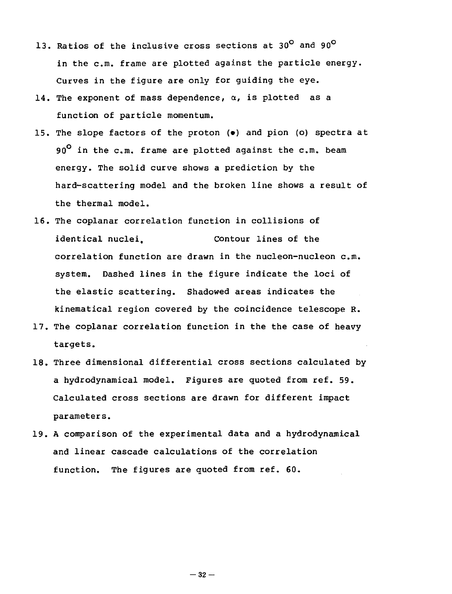- 13. Ratios of the inclusive cross sections at 30<sup>°</sup> and 90<sup>°</sup> in the c.m. frame are plotted against the particle energy. Curves in the figure are only for guiding the eye.
- 14. The exponent of mass dependence,  $\alpha$ , is plotted as a function of particle momentum.
- 15. The slope factors of the proton (•) and pion (o) spectra at  $90^{\circ}$  in the c.m. frame are plotted against the c.m. beam energy. The solid curve shows a prediction by the hard-scattering model and the broken line shows a result of the thermal model.
- 16. The coplanar correlation function in collisions of identical nuclei. Contour lines of the correlation function are drawn in the nucleon-nucleon  $c.m.$ system. Dashed lines in the figure indicate the loci of the elastic scattering. Shadowed areas indicates the kinematical region covered by the coincidence telescope R.
- 17. The coplanar correlation function in the the case of heavy targets.
- 18. Three dimensional differential cross sections calculated by a hydrodynamical model. Figures are quoted from ref. 59. Calculated cross sections are drawn for different impact parameters.
- 19. A comparison of the experimental data and a hydrodynamical and linear cascade calculations of the correlation function. The figures are quoted from ref. 60.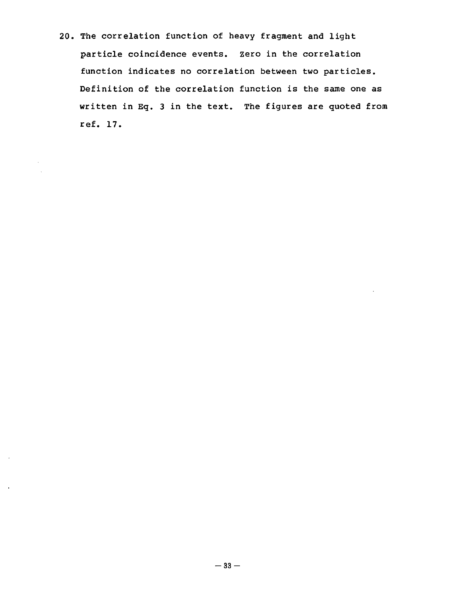20. The correlation function of heavy fragment and light particle coincidence events, zero in the correlation function indicates no correlation between two particles. Definition of the correlation function is the same one as written in Eq. 3 in the text. The figures are quoted from ref. 17.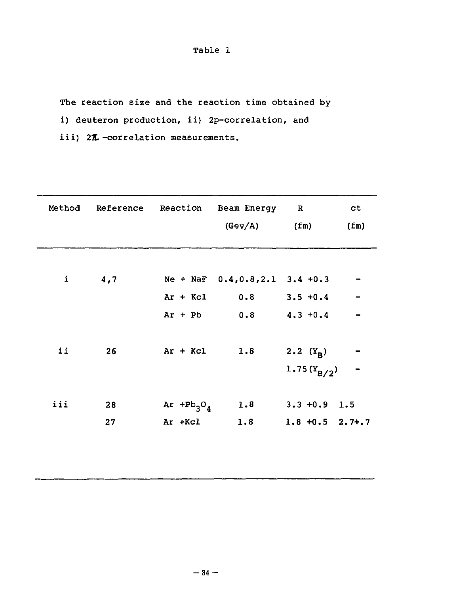Table 1

The reaction size and the reaction time obtained by

i) deuteron production, ii) 2p-correlation, and

iii) 27 -correlation measurements.

| Method        |     |               | Reference Reaction Beam Energy R  |                    | ct   |
|---------------|-----|---------------|-----------------------------------|--------------------|------|
|               |     |               | (Gev/A)                           | (fm)               | (fm) |
|               |     |               |                                   |                    |      |
|               |     |               |                                   |                    |      |
| $\mathbf i$   | 4,7 |               | Ne + NaF $0.4, 0.8, 2.1$ 3.4 +0.3 |                    |      |
|               |     | $Ar + Kcl$    | 0.8                               | $3.5 + 0.4$        |      |
|               |     | $Ar + Pb$     | 0.8                               | $4.3 + 0.4$        |      |
|               |     |               |                                   |                    |      |
| $\mathbf{ii}$ | 26  | $Ar + Kcl$    | 1.8                               | 2.2 $(Y_R)$        |      |
|               |     |               |                                   | 1.75 $(Y_{B/2})$   |      |
|               |     |               |                                   |                    |      |
| iii           | 28  | Ar $+Pb_3O_4$ | 1.8                               | $3.3 + 0.9$ 1.5    |      |
|               | 27  | Ar +Kcl       | 1.8                               | $1.8 + 0.5$ 2.7+.7 |      |
|               |     |               |                                   |                    |      |
|               |     |               |                                   |                    |      |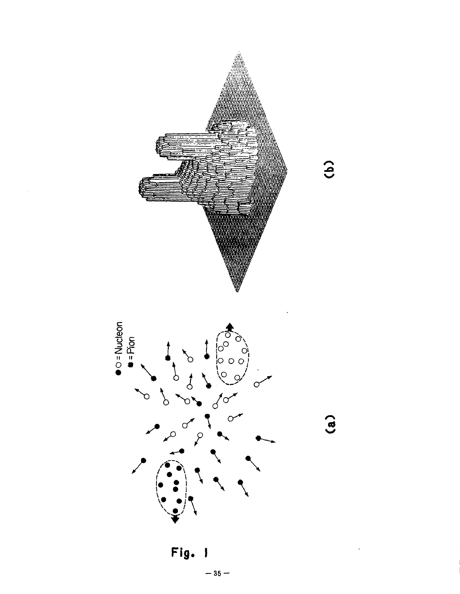





 $\hat{c}$ 

 $(a)$ 

Fig. ł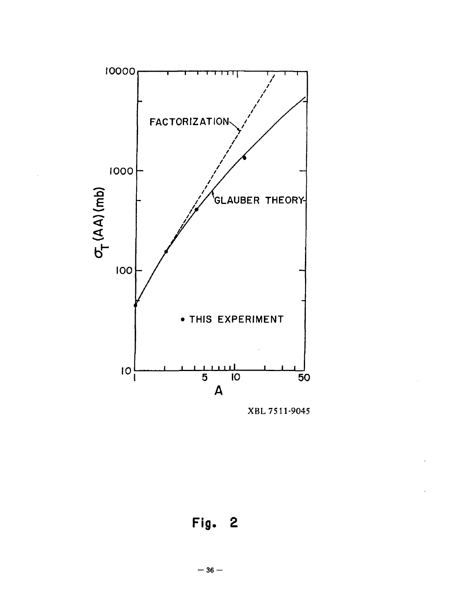

XBL 7511-9045

Fig. 2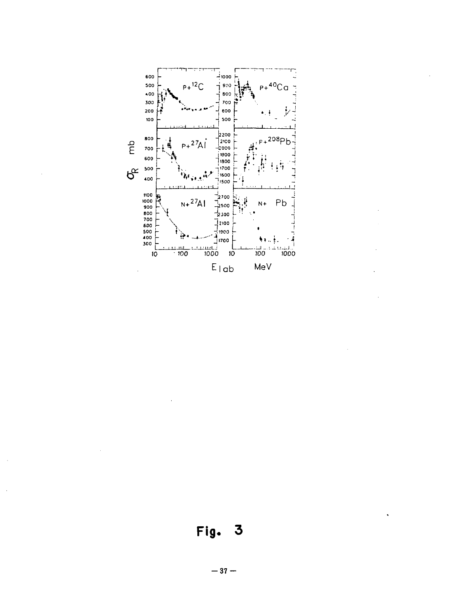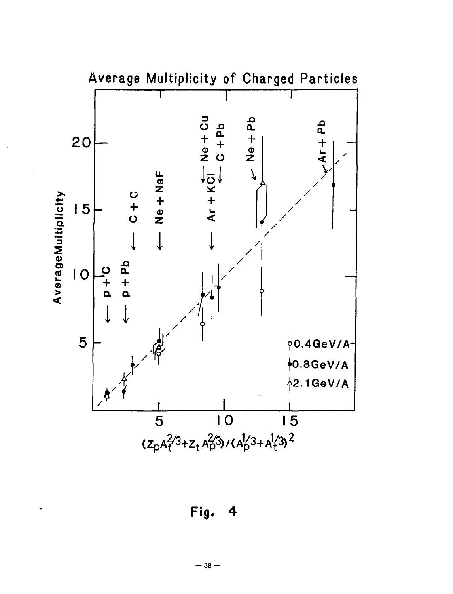

Fig. 4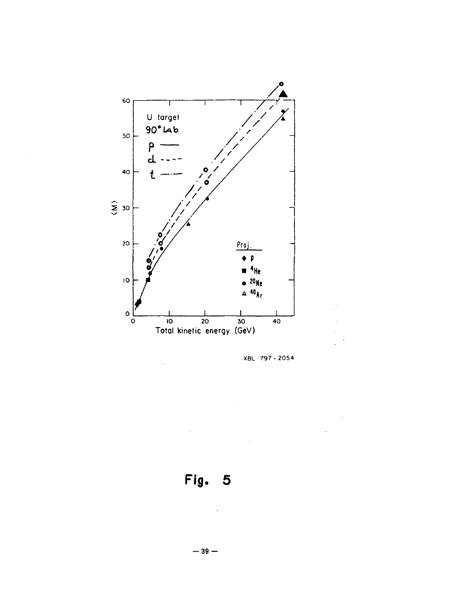![](_page_40_Figure_0.jpeg)

XBL 797-2054

**Fig. 5**

 $\hat{\mathcal{C}}_k$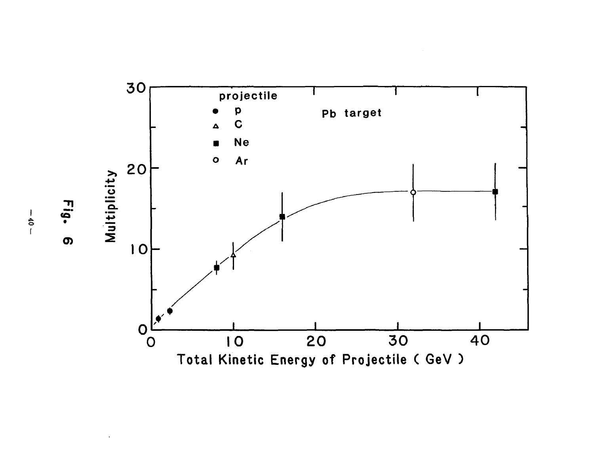![](_page_41_Figure_0.jpeg)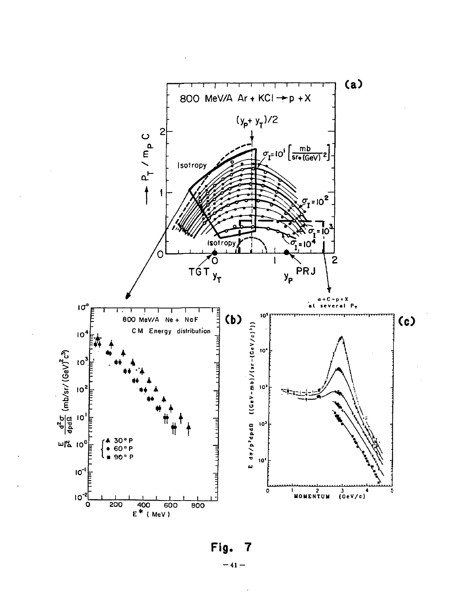![](_page_42_Figure_0.jpeg)

Fig. 7  $-41-$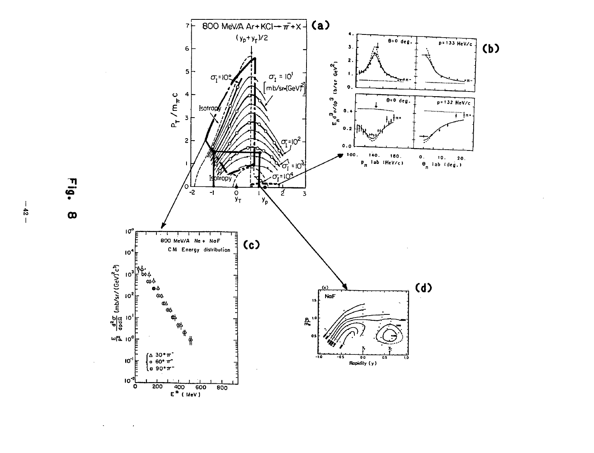![](_page_43_Figure_0.jpeg)

Fig.  $\pmb{\infty}$ 

 $\ddot{\phantom{a}}$ 

 $\lambda$ 

 $\mathbf{I}$  $\frac{4}{5}$  $\overline{1}$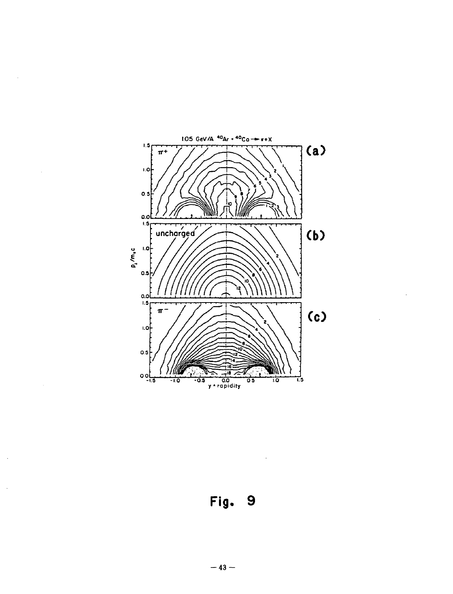![](_page_44_Figure_0.jpeg)

**Fig. 9**

 $\mathbf{r}$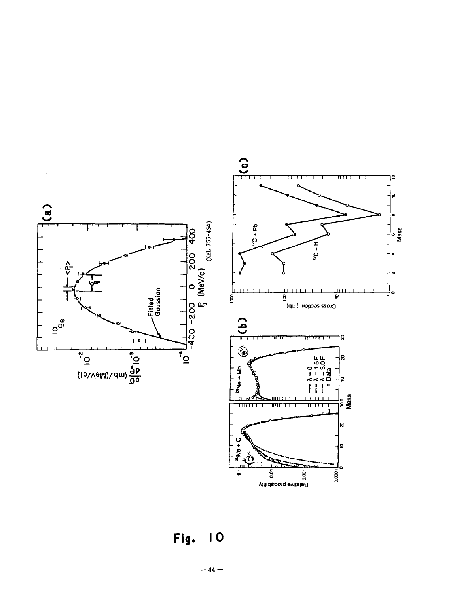![](_page_45_Figure_0.jpeg)

Fig. 10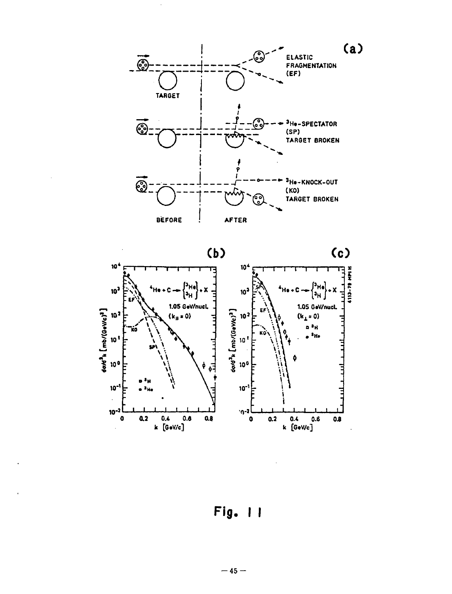![](_page_46_Figure_0.jpeg)

Fig. 11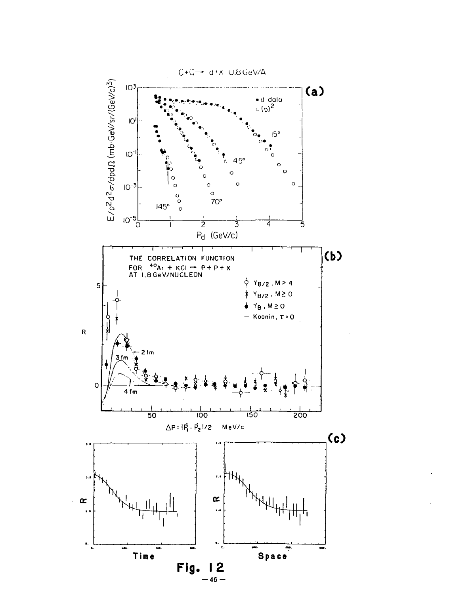![](_page_47_Figure_0.jpeg)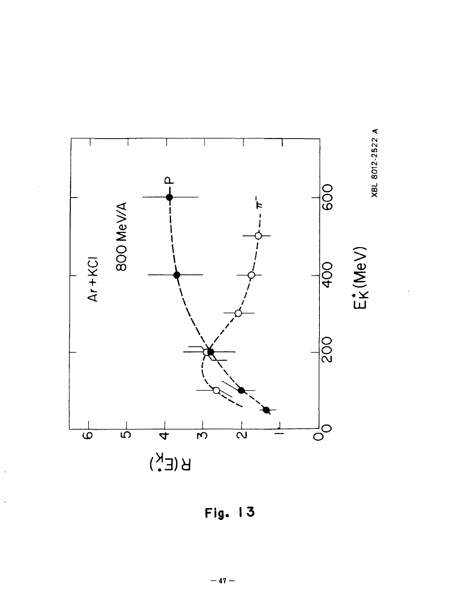![](_page_48_Figure_0.jpeg)

![](_page_48_Figure_1.jpeg)

 $\frac{1}{2}$ 

![](_page_48_Figure_2.jpeg)

l,

 $-47-$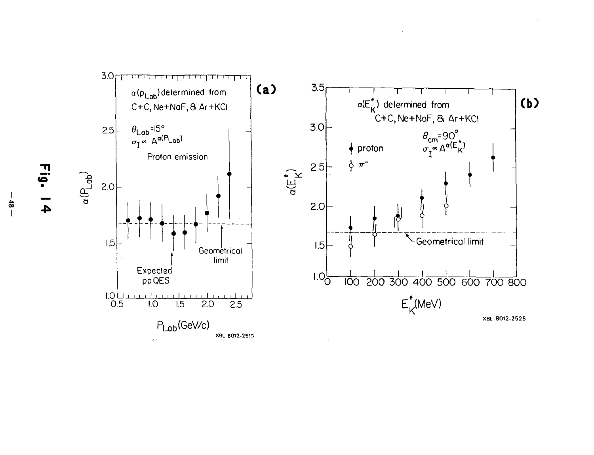![](_page_49_Figure_0.jpeg)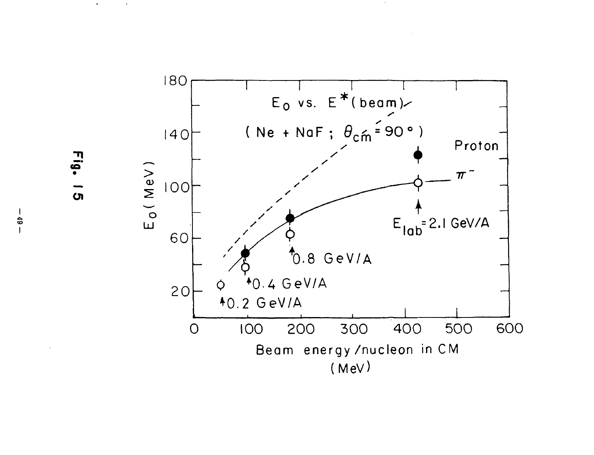![](_page_50_Figure_0.jpeg)

Fig.  $\overline{a}$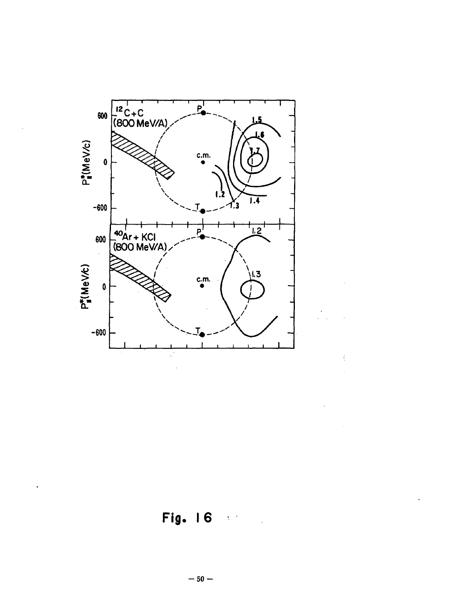![](_page_51_Figure_0.jpeg)

**Fig. 16**

 $\frac{1}{3}$ 

 $\ddot{\phantom{0}}$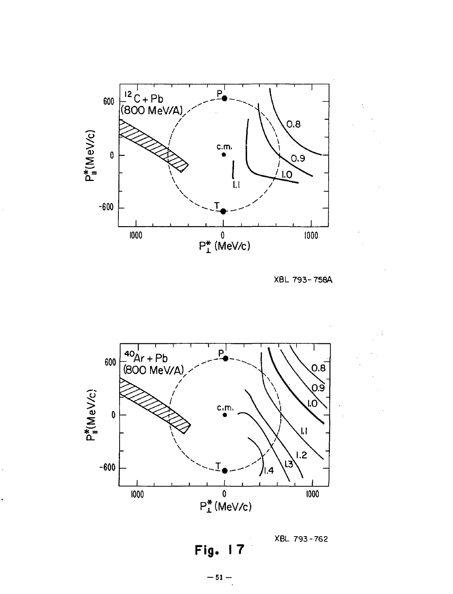![](_page_52_Figure_0.jpeg)

XBL 793-758A

XBL 793-762

![](_page_52_Figure_2.jpeg)

l.

l.

Fig.  $\overline{17}$ 

 $-51 -$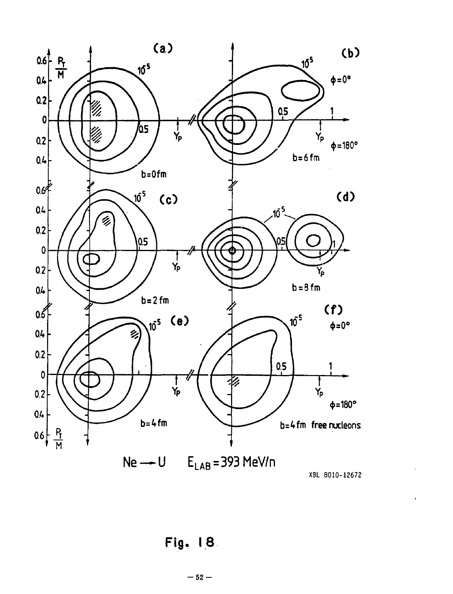![](_page_53_Figure_0.jpeg)

XBL 8010-12672

ï

Fig. 18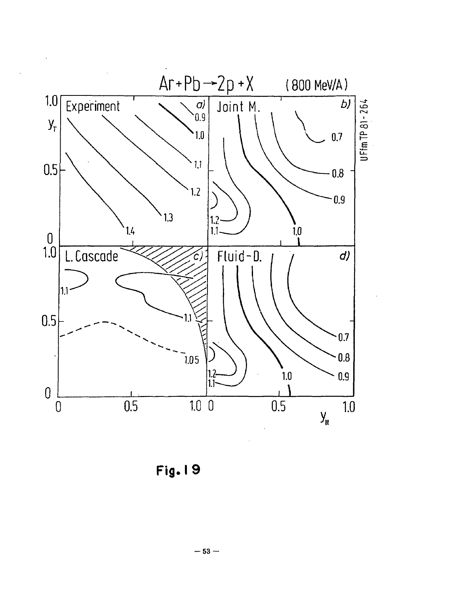![](_page_54_Figure_0.jpeg)

Fig. I 9